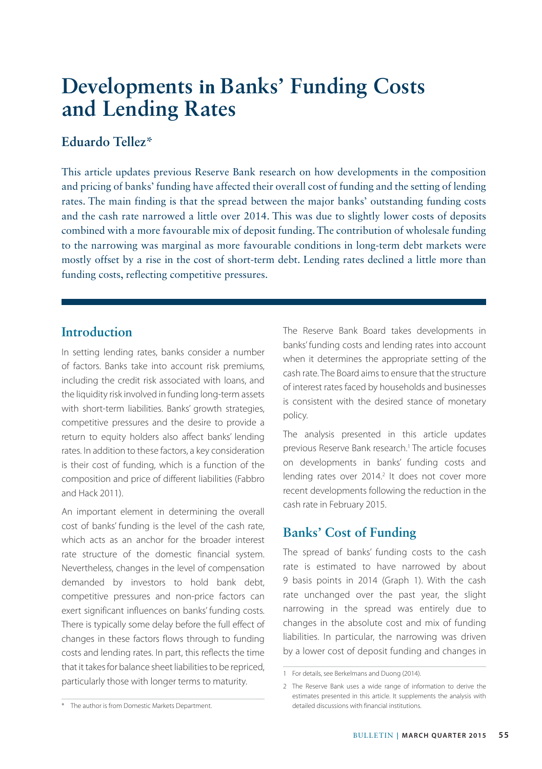# **Developments in Banks' Funding Costs and Lending Rates**

# **Eduardo Tellez\***

This article updates previous Reserve Bank research on how developments in the composition and pricing of banks' funding have affected their overall cost of funding and the setting of lending rates. The main finding is that the spread between the major banks' outstanding funding costs and the cash rate narrowed a little over 2014. This was due to slightly lower costs of deposits combined with a more favourable mix of deposit funding. The contribution of wholesale funding to the narrowing was marginal as more favourable conditions in long-term debt markets were mostly offset by a rise in the cost of short-term debt. Lending rates declined a little more than funding costs, reflecting competitive pressures.

## **Introduction**

In setting lending rates, banks consider a number of factors. Banks take into account risk premiums, including the credit risk associated with loans, and the liquidity risk involved in funding long-term assets with short-term liabilities. Banks' growth strategies, competitive pressures and the desire to provide a return to equity holders also affect banks' lending rates. In addition to these factors, a key consideration is their cost of funding, which is a function of the composition and price of different liabilities (Fabbro and Hack 2011).

An important element in determining the overall cost of banks' funding is the level of the cash rate, which acts as an anchor for the broader interest rate structure of the domestic financial system. Nevertheless, changes in the level of compensation demanded by investors to hold bank debt, competitive pressures and non-price factors can exert significant influences on banks' funding costs. There is typically some delay before the full effect of changes in these factors flows through to funding costs and lending rates. In part, this reflects the time that it takes for balance sheet liabilities to be repriced, particularly those with longer terms to maturity.

The Reserve Bank Board takes developments in banks' funding costs and lending rates into account when it determines the appropriate setting of the cash rate. The Board aims to ensure that the structure of interest rates faced by households and businesses is consistent with the desired stance of monetary policy.

The analysis presented in this article updates previous Reserve Bank research.<sup>1</sup> The article focuses on developments in banks' funding costs and lending rates over 2014.<sup>2</sup> It does not cover more recent developments following the reduction in the cash rate in February 2015.

# **Banks' Cost of Funding**

The spread of banks' funding costs to the cash rate is estimated to have narrowed by about 9 basis points in 2014 (Graph 1). With the cash rate unchanged over the past year, the slight narrowing in the spread was entirely due to changes in the absolute cost and mix of funding liabilities. In particular, the narrowing was driven by a lower cost of deposit funding and changes in

<sup>1</sup> For details, see Berkelmans and Duong (2014).

<sup>2</sup> The Reserve Bank uses a wide range of information to derive the estimates presented in this article. It supplements the analysis with detailed discussions with financial institutions.

<sup>\*</sup> The author is from Domestic Markets Department.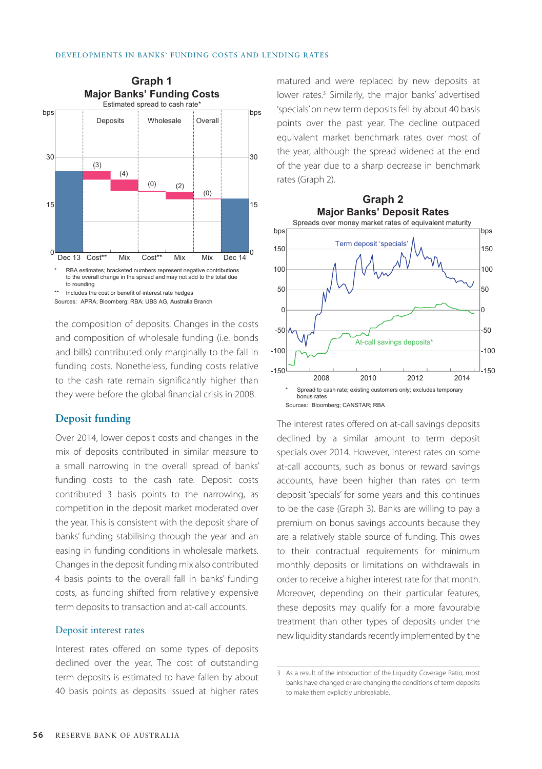

the composition of deposits. Changes in the costs and composition of wholesale funding (i.e. bonds and bills) contributed only marginally to the fall in funding costs. Nonetheless, funding costs relative to the cash rate remain significantly higher than they were before the global financial crisis in 2008.

#### **Deposit funding**

Over 2014, lower deposit costs and changes in the mix of deposits contributed in similar measure to a small narrowing in the overall spread of banks' funding costs to the cash rate. Deposit costs contributed 3 basis points to the narrowing, as competition in the deposit market moderated over the year. This is consistent with the deposit share of banks' funding stabilising through the year and an easing in funding conditions in wholesale markets. Changes in the deposit funding mix also contributed 4 basis points to the overall fall in banks' funding costs, as funding shifted from relatively expensive term deposits to transaction and at-call accounts.

#### Deposit interest rates

Interest rates offered on some types of deposits declined over the year. The cost of outstanding term deposits is estimated to have fallen by about 40 basis points as deposits issued at higher rates matured and were replaced by new deposits at lower rates.<sup>3</sup> Similarly, the major banks' advertised 'specials' on new term deposits fell by about 40 basis points over the past year. The decline outpaced equivalent market benchmark rates over most of the year, although the spread widened at the end of the year due to a sharp decrease in benchmark rates (Graph 2).



The interest rates offered on at-call savings deposits declined by a similar amount to term deposit specials over 2014. However, interest rates on some at-call accounts, such as bonus or reward savings accounts, have been higher than rates on term deposit 'specials' for some years and this continues to be the case (Graph 3). Banks are willing to pay a premium on bonus savings accounts because they are a relatively stable source of funding. This owes to their contractual requirements for minimum monthly deposits or limitations on withdrawals in order to receive a higher interest rate for that month. Moreover, depending on their particular features, these deposits may qualify for a more favourable treatment than other types of deposits under the new liquidity standards recently implemented by the

<sup>3</sup> As a result of the introduction of the Liquidity Coverage Ratio, most banks have changed or are changing the conditions of term deposits to make them explicitly unbreakable.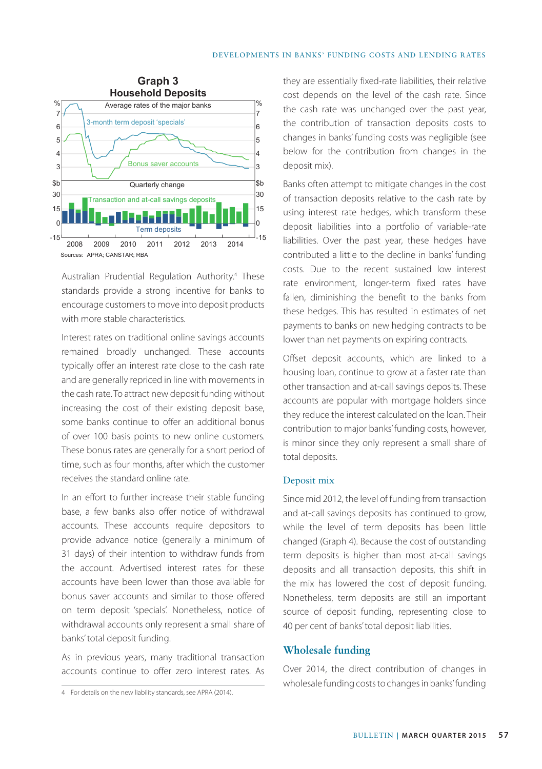

Australian Prudential Regulation Authority.<sup>4</sup> These standards provide a strong incentive for banks to encourage customers to move into deposit products with more stable characteristics.

Interest rates on traditional online savings accounts remained broadly unchanged. These accounts typically offer an interest rate close to the cash rate and are generally repriced in line with movements in the cash rate. To attract new deposit funding without increasing the cost of their existing deposit base, some banks continue to offer an additional bonus of over 100 basis points to new online customers. These bonus rates are generally for a short period of time, such as four months, after which the customer receives the standard online rate.

In an effort to further increase their stable funding base, a few banks also offer notice of withdrawal accounts. These accounts require depositors to provide advance notice (generally a minimum of 31 days) of their intention to withdraw funds from the account. Advertised interest rates for these accounts have been lower than those available for bonus saver accounts and similar to those offered on term deposit 'specials'. Nonetheless, notice of withdrawal accounts only represent a small share of banks' total deposit funding.

As in previous years, many traditional transaction accounts continue to offer zero interest rates. As

they are essentially fixed-rate liabilities, their relative cost depends on the level of the cash rate. Since the cash rate was unchanged over the past year, the contribution of transaction deposits costs to changes in banks' funding costs was negligible (see below for the contribution from changes in the deposit mix).

Banks often attempt to mitigate changes in the cost of transaction deposits relative to the cash rate by using interest rate hedges, which transform these deposit liabilities into a portfolio of variable-rate liabilities. Over the past year, these hedges have contributed a little to the decline in banks' funding costs. Due to the recent sustained low interest rate environment, longer-term fixed rates have fallen, diminishing the benefit to the banks from these hedges. This has resulted in estimates of net payments to banks on new hedging contracts to be lower than net payments on expiring contracts.

Offset deposit accounts, which are linked to a housing loan, continue to grow at a faster rate than other transaction and at-call savings deposits. These accounts are popular with mortgage holders since they reduce the interest calculated on the loan. Their contribution to major banks' funding costs, however, is minor since they only represent a small share of total deposits.

#### Deposit mix

Since mid 2012, the level of funding from transaction and at-call savings deposits has continued to grow, while the level of term deposits has been little changed (Graph 4). Because the cost of outstanding term deposits is higher than most at-call savings deposits and all transaction deposits, this shift in the mix has lowered the cost of deposit funding. Nonetheless, term deposits are still an important source of deposit funding, representing close to 40 per cent of banks' total deposit liabilities.

#### **Wholesale funding**

Over 2014, the direct contribution of changes in wholesale funding costs to changes in banks' funding

<sup>4</sup> For details on the new liability standards, see APRA (2014).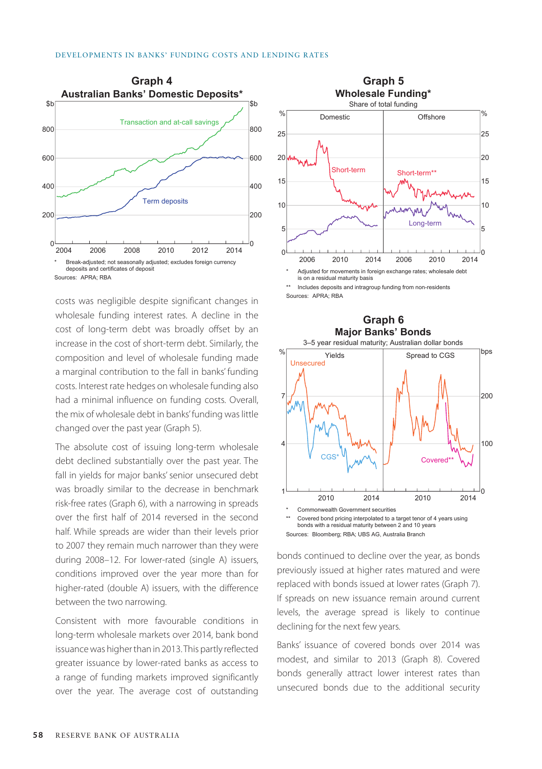

Sources: APRA; RBA

costs was negligible despite significant changes in wholesale funding interest rates. A decline in the cost of long-term debt was broadly offset by an increase in the cost of short-term debt. Similarly, the composition and level of wholesale funding made a marginal contribution to the fall in banks' funding costs. Interest rate hedges on wholesale funding also had a minimal influence on funding costs. Overall, the mix of wholesale debt in banks' funding was little changed over the past year (Graph 5).

The absolute cost of issuing long-term wholesale debt declined substantially over the past year. The fall in yields for major banks' senior unsecured debt was broadly similar to the decrease in benchmark risk-free rates (Graph 6), with a narrowing in spreads over the first half of 2014 reversed in the second half. While spreads are wider than their levels prior to 2007 they remain much narrower than they were during 2008–12. For lower-rated (single A) issuers, conditions improved over the year more than for higher-rated (double A) issuers, with the difference between the two narrowing.

Consistent with more favourable conditions in long-term wholesale markets over 2014, bank bond issuance was higher than in 2013. This partly reflected greater issuance by lower-rated banks as access to a range of funding markets improved significantly over the year. The average cost of outstanding



Includes deposits and intragroup funding from non-residents Sources: APRA; RBA



Sources: Bloomberg; RBA; UBS AG, Australia Branch

bonds continued to decline over the year, as bonds previously issued at higher rates matured and were replaced with bonds issued at lower rates (Graph 7). If spreads on new issuance remain around current levels, the average spread is likely to continue declining for the next few years.

Banks' issuance of covered bonds over 2014 was modest, and similar to 2013 (Graph 8). Covered bonds generally attract lower interest rates than unsecured bonds due to the additional security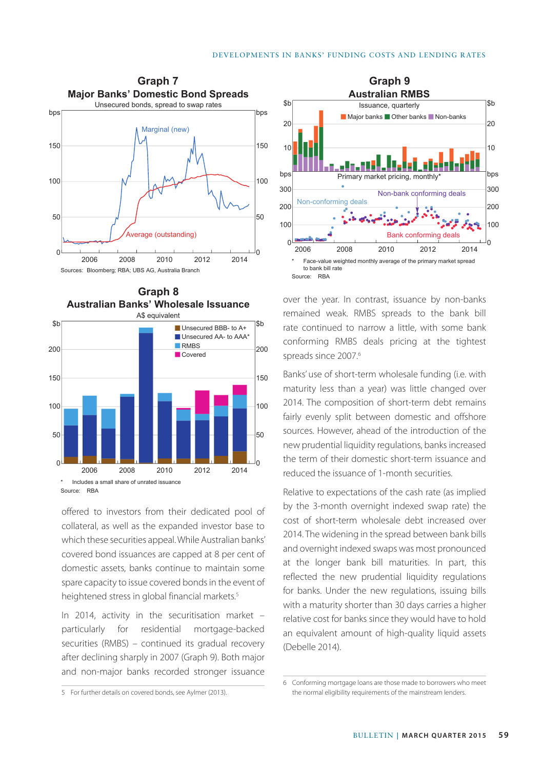





offered to investors from their dedicated pool of collateral, as well as the expanded investor base to which these securities appeal. While Australian banks' covered bond issuances are capped at 8 per cent of domestic assets, banks continue to maintain some spare capacity to issue covered bonds in the event of heightened stress in global financial markets.<sup>5</sup>

In 2014, activity in the securitisation market – particularly for residential mortgage-backed securities (RMBS) – continued its gradual recovery after declining sharply in 2007 (Graph 9). Both major and non-major banks recorded stronger issuance



over the year. In contrast, issuance by non-banks remained weak. RMBS spreads to the bank bill rate continued to narrow a little, with some bank conforming RMBS deals pricing at the tightest spreads since 2007.<sup>6</sup>

Banks' use of short-term wholesale funding (i.e. with maturity less than a year) was little changed over 2014. The composition of short-term debt remains fairly evenly split between domestic and offshore sources. However, ahead of the introduction of the new prudential liquidity regulations, banks increased the term of their domestic short-term issuance and reduced the issuance of 1-month securities.

Relative to expectations of the cash rate (as implied by the 3-month overnight indexed swap rate) the cost of short-term wholesale debt increased over 2014. The widening in the spread between bank bills and overnight indexed swaps was most pronounced at the longer bank bill maturities. In part, this reflected the new prudential liquidity regulations for banks. Under the new regulations, issuing bills with a maturity shorter than 30 days carries a higher relative cost for banks since they would have to hold an equivalent amount of high-quality liquid assets (Debelle 2014).

<sup>5</sup> For further details on covered bonds, see Aylmer (2013).

<sup>6</sup> Conforming mortgage loans are those made to borrowers who meet the normal eligibility requirements of the mainstream lenders.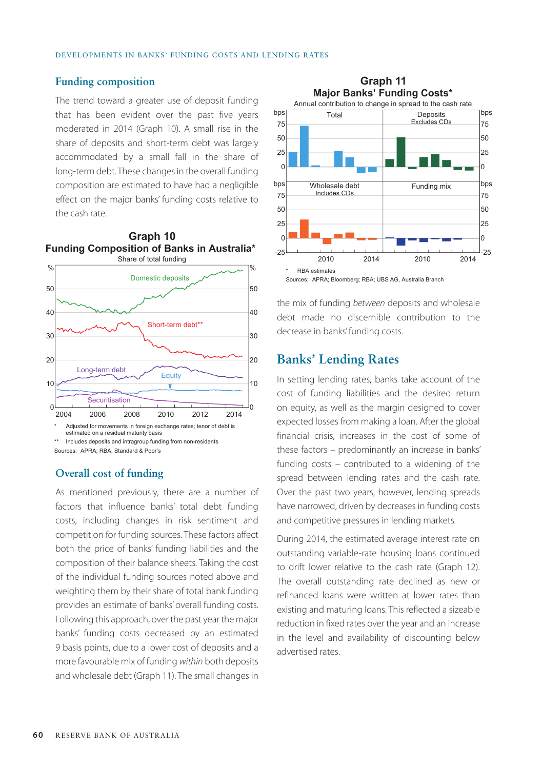#### **Funding composition**

The trend toward a greater use of deposit funding that has been evident over the past five years moderated in 2014 (Graph 10). A small rise in the share of deposits and short-term debt was largely accommodated by a small fall in the share of long-term debt. These changes in the overall funding composition are estimated to have had a negligible effect on the major banks' funding costs relative to the cash rate.



estimated on a residual maturity basis

Includes deposits and intragroup funding from non-residents Sources: APRA; RBA; Standard & Poor's

#### **Overall cost of funding**

As mentioned previously, there are a number of factors that influence banks' total debt funding costs, including changes in risk sentiment and competition for funding sources. These factors affect both the price of banks' funding liabilities and the composition of their balance sheets. Taking the cost of the individual funding sources noted above and weighting them by their share of total bank funding provides an estimate of banks' overall funding costs. Following this approach, over the past year the major banks' funding costs decreased by an estimated 9 basis points, due to a lower cost of deposits and a more favourable mix of funding *within* both deposits and wholesale debt (Graph 11). The small changes in



the mix of funding *between* deposits and wholesale debt made no discernible contribution to the decrease in banks' funding costs.

### **Banks' Lending Rates**

In setting lending rates, banks take account of the cost of funding liabilities and the desired return on equity, as well as the margin designed to cover expected losses from making a loan. After the global financial crisis, increases in the cost of some of these factors – predominantly an increase in banks' funding costs – contributed to a widening of the spread between lending rates and the cash rate. Over the past two years, however, lending spreads have narrowed, driven by decreases in funding costs and competitive pressures in lending markets.

During 2014, the estimated average interest rate on outstanding variable-rate housing loans continued to drift lower relative to the cash rate (Graph 12). The overall outstanding rate declined as new or refinanced loans were written at lower rates than existing and maturing loans. This reflected a sizeable reduction in fixed rates over the year and an increase in the level and availability of discounting below advertised rates.